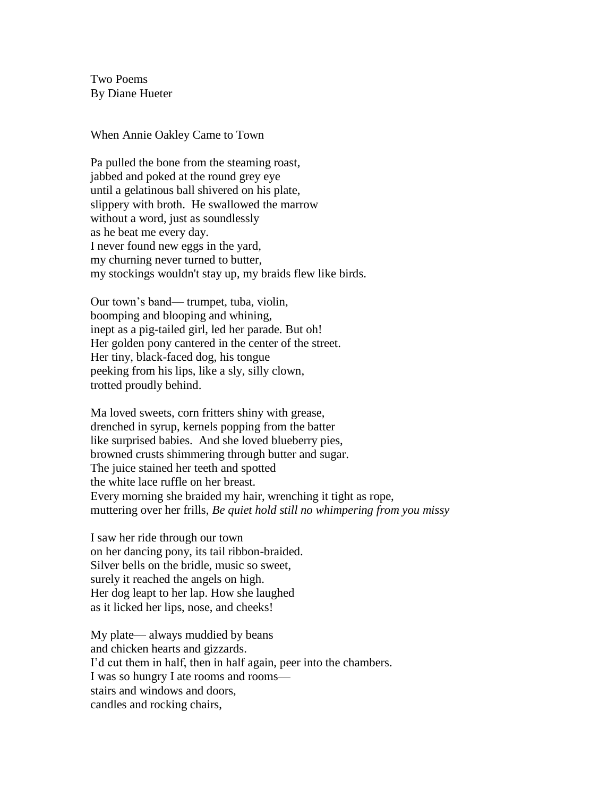Two Poems By Diane Hueter

## When Annie Oakley Came to Town

Pa pulled the bone from the steaming roast, jabbed and poked at the round grey eye until a gelatinous ball shivered on his plate, slippery with broth. He swallowed the marrow without a word, just as soundlessly as he beat me every day. I never found new eggs in the yard, my churning never turned to butter, my stockings wouldn't stay up, my braids flew like birds.

Our town's band— trumpet, tuba, violin, boomping and blooping and whining, inept as a pig-tailed girl, led her parade. But oh! Her golden pony cantered in the center of the street. Her tiny, black-faced dog, his tongue peeking from his lips, like a sly, silly clown, trotted proudly behind.

Ma loved sweets, corn fritters shiny with grease, drenched in syrup, kernels popping from the batter like surprised babies. And she loved blueberry pies, browned crusts shimmering through butter and sugar. The juice stained her teeth and spotted the white lace ruffle on her breast. Every morning she braided my hair, wrenching it tight as rope, muttering over her frills, *Be quiet hold still no whimpering from you missy*

I saw her ride through our town on her dancing pony, its tail ribbon-braided. Silver bells on the bridle, music so sweet, surely it reached the angels on high. Her dog leapt to her lap. How she laughed as it licked her lips, nose, and cheeks!

My plate— always muddied by beans and chicken hearts and gizzards. I'd cut them in half, then in half again, peer into the chambers. I was so hungry I ate rooms and rooms stairs and windows and doors, candles and rocking chairs,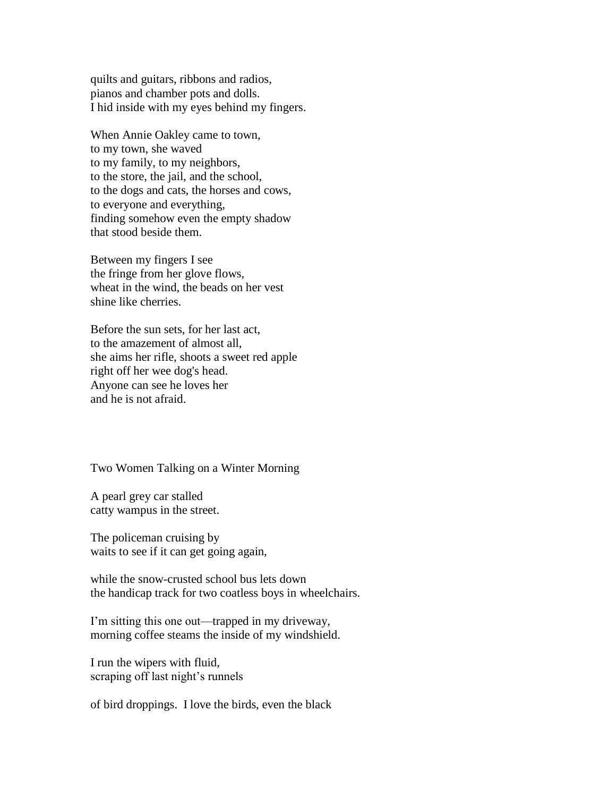quilts and guitars, ribbons and radios, pianos and chamber pots and dolls. I hid inside with my eyes behind my fingers.

When Annie Oakley came to town, to my town, she waved to my family, to my neighbors, to the store, the jail, and the school, to the dogs and cats, the horses and cows, to everyone and everything, finding somehow even the empty shadow that stood beside them.

Between my fingers I see the fringe from her glove flows, wheat in the wind, the beads on her vest shine like cherries.

Before the sun sets, for her last act, to the amazement of almost all, she aims her rifle, shoots a sweet red apple right off her wee dog's head. Anyone can see he loves her and he is not afraid.

Two Women Talking on a Winter Morning

A pearl grey car stalled catty wampus in the street.

The policeman cruising by waits to see if it can get going again,

while the snow-crusted school bus lets down the handicap track for two coatless boys in wheelchairs.

I'm sitting this one out—trapped in my driveway, morning coffee steams the inside of my windshield.

I run the wipers with fluid, scraping off last night's runnels

of bird droppings. I love the birds, even the black